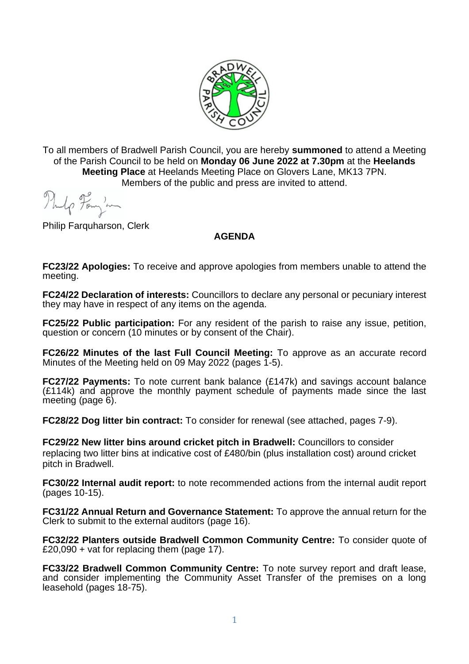

To all members of Bradwell Parish Council, you are hereby **summoned** to attend a Meeting of the Parish Council to be held on **Monday 06 June 2022 at 7.30pm** at the **Heelands Meeting Place** at Heelands Meeting Place on Glovers Lane, MK13 7PN. Members of the public and press are invited to attend.

Thelp Form in

Philip Farquharson, Clerk

## **AGENDA**

**FC23/22 Apologies:** To receive and approve apologies from members unable to attend the meeting.

**FC24/22 Declaration of interests:** Councillors to declare any personal or pecuniary interest they may have in respect of any items on the agenda.

**FC25/22 Public participation:** For any resident of the parish to raise any issue, petition, question or concern (10 minutes or by consent of the Chair).

**FC26/22 Minutes of the last Full Council Meeting:** To approve as an accurate record Minutes of the Meeting held on 09 May 2022 (pages 1-5).

**FC27/22 Payments:** To note current bank balance (£147k) and savings account balance (£114k) and approve the monthly payment schedule of payments made since the last meeting (page 6).

**FC28/22 Dog litter bin contract:** To consider for renewal (see attached, pages 7-9).

**FC29/22 New litter bins around cricket pitch in Bradwell:** Councillors to consider replacing two litter bins at indicative cost of £480/bin (plus installation cost) around cricket pitch in Bradwell.

**FC30/22 Internal audit report:** to note recommended actions from the internal audit report (pages 10-15).

**FC31/22 Annual Return and Governance Statement:** To approve the annual return for the Clerk to submit to the external auditors (page 16).

**FC32/22 Planters outside Bradwell Common Community Centre:** To consider quote of £20,090 + vat for replacing them (page 17).

**FC33/22 Bradwell Common Community Centre:** To note survey report and draft lease, and consider implementing the Community Asset Transfer of the premises on a long leasehold (pages 18-75).